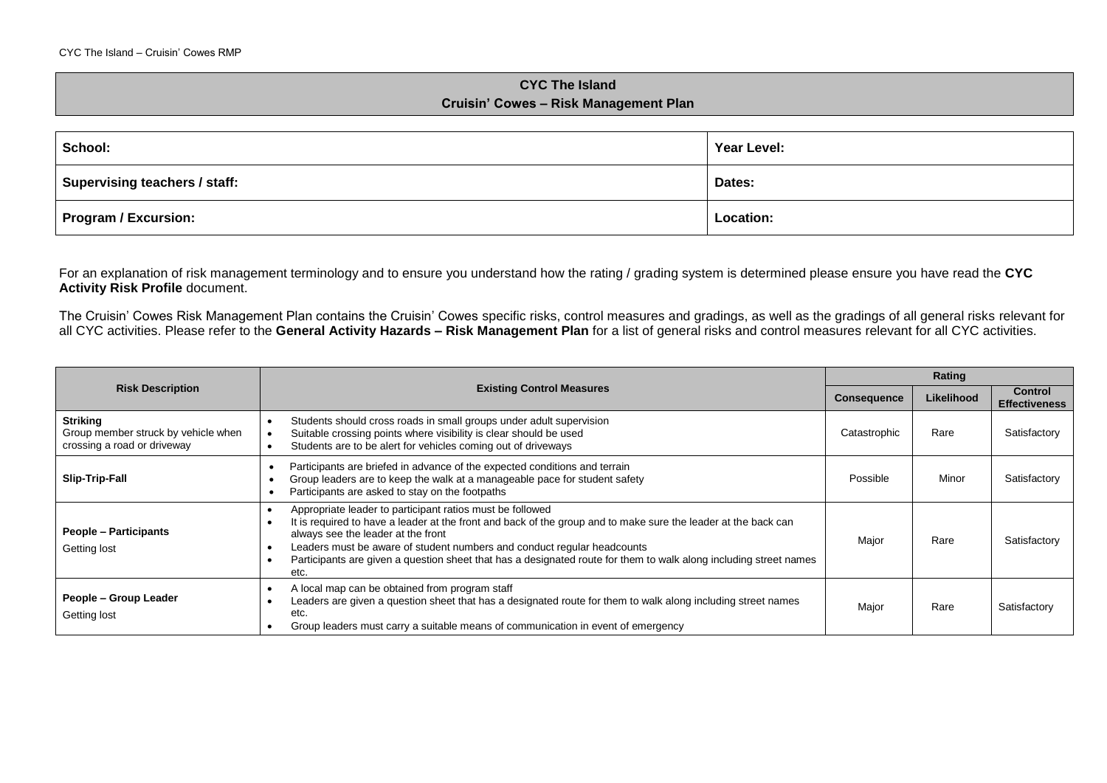## **CYC The Island Cruisin' Cowes – Risk Management Plan**

| School:                       | Year Level: |
|-------------------------------|-------------|
| Supervising teachers / staff: | Dates:      |
| Program / Excursion:          | Location:   |

For an explanation of risk management terminology and to ensure you understand how the rating / grading system is determined please ensure you have read the **CYC Activity Risk Profile** document.

The Cruisin' Cowes Risk Management Plan contains the Cruisin' Cowes specific risks, control measures and gradings, as well as the gradings of all general risks relevant for all CYC activities. Please refer to the **General Activity Hazards – Risk Management Plan** for a list of general risks and control measures relevant for all CYC activities.

|                                                                                       | <b>Existing Control Measures</b><br><b>Consequence</b>                                                                                                                                                                                                                                                                                                                                                                    |              | Rating     |                                        |  |
|---------------------------------------------------------------------------------------|---------------------------------------------------------------------------------------------------------------------------------------------------------------------------------------------------------------------------------------------------------------------------------------------------------------------------------------------------------------------------------------------------------------------------|--------------|------------|----------------------------------------|--|
| <b>Risk Description</b>                                                               |                                                                                                                                                                                                                                                                                                                                                                                                                           |              | Likelihood | <b>Control</b><br><b>Effectiveness</b> |  |
| <b>Striking</b><br>Group member struck by vehicle when<br>crossing a road or driveway | Students should cross roads in small groups under adult supervision<br>Suitable crossing points where visibility is clear should be used<br>Students are to be alert for vehicles coming out of driveways                                                                                                                                                                                                                 | Catastrophic | Rare       | Satisfactory                           |  |
| Slip-Trip-Fall                                                                        | Participants are briefed in advance of the expected conditions and terrain<br>Group leaders are to keep the walk at a manageable pace for student safety<br>Participants are asked to stay on the footpaths                                                                                                                                                                                                               | Possible     | Minor      | Satisfactory                           |  |
| <b>People – Participants</b><br>Getting lost                                          | Appropriate leader to participant ratios must be followed<br>It is required to have a leader at the front and back of the group and to make sure the leader at the back can<br>always see the leader at the front<br>Leaders must be aware of student numbers and conduct regular headcounts<br>Participants are given a question sheet that has a designated route for them to walk along including street names<br>etc. | Major        | Rare       | Satisfactory                           |  |
| People - Group Leader<br>Getting lost                                                 | A local map can be obtained from program staff<br>Leaders are given a question sheet that has a designated route for them to walk along including street names<br>etc.<br>Group leaders must carry a suitable means of communication in event of emergency                                                                                                                                                                | Major        | Rare       | Satisfactory                           |  |